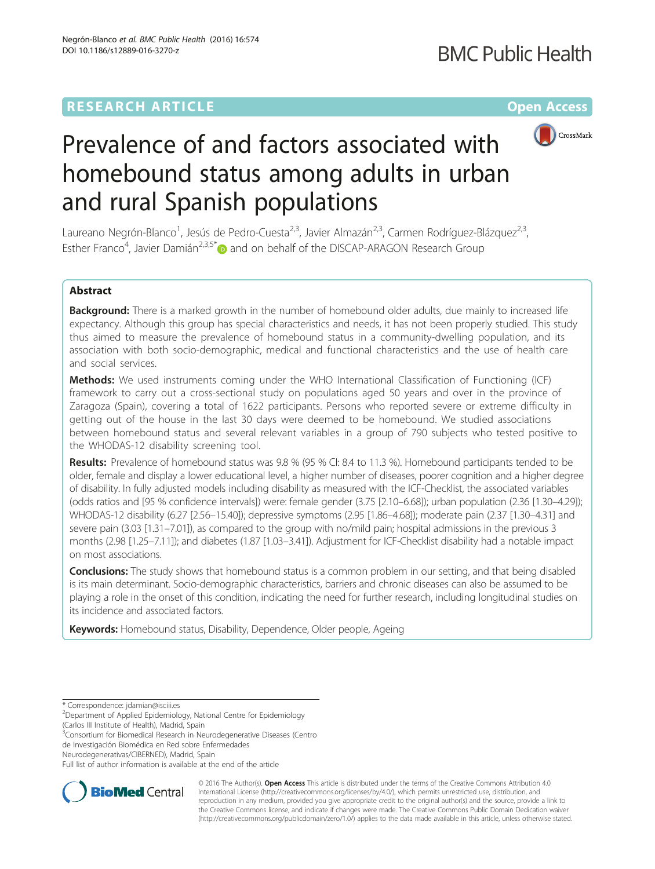# **RESEARCH ARTICLE Example 2014 12:30 The Community Community Community Community Community Community Community**



# Prevalence of and factors associated with homebound status among adults in urban and rural Spanish populations

Laureano Negrón-Blanco<sup>1</sup>, Jesús de Pedro-Cuesta<sup>2,3</sup>, Javier Almazán<sup>2,3</sup>, Carmen Rodríguez-Blázquez<sup>2,3</sup>, Esther Franco<sup>4</sup>, Javier Damián<sup>2,3,5\*</sup> and on behalf of the DISCAP-ARAGON Research Group

# Abstract

Background: There is a marked growth in the number of homebound older adults, due mainly to increased life expectancy. Although this group has special characteristics and needs, it has not been properly studied. This study thus aimed to measure the prevalence of homebound status in a community-dwelling population, and its association with both socio-demographic, medical and functional characteristics and the use of health care and social services.

**Methods:** We used instruments coming under the WHO International Classification of Functioning (ICF) framework to carry out a cross-sectional study on populations aged 50 years and over in the province of Zaragoza (Spain), covering a total of 1622 participants. Persons who reported severe or extreme difficulty in getting out of the house in the last 30 days were deemed to be homebound. We studied associations between homebound status and several relevant variables in a group of 790 subjects who tested positive to the WHODAS-12 disability screening tool.

Results: Prevalence of homebound status was 9.8 % (95 % CI: 8.4 to 11.3 %). Homebound participants tended to be older, female and display a lower educational level, a higher number of diseases, poorer cognition and a higher degree of disability. In fully adjusted models including disability as measured with the ICF-Checklist, the associated variables (odds ratios and [95 % confidence intervals]) were: female gender (3.75 [2.10–6.68]); urban population (2.36 [1.30–4.29]); WHODAS-12 disability (6.27 [2.56–15.40]); depressive symptoms (2.95 [1.86–4.68]); moderate pain (2.37 [1.30–4.31] and severe pain (3.03 [1.31–7.01]), as compared to the group with no/mild pain; hospital admissions in the previous 3 months (2.98 [1.25–7.11]); and diabetes (1.87 [1.03–3.41]). Adjustment for ICF-Checklist disability had a notable impact on most associations.

**Conclusions:** The study shows that homebound status is a common problem in our setting, and that being disabled is its main determinant. Socio-demographic characteristics, barriers and chronic diseases can also be assumed to be playing a role in the onset of this condition, indicating the need for further research, including longitudinal studies on its incidence and associated factors.

Keywords: Homebound status, Disability, Dependence, Older people, Ageing

\* Correspondence: [jdamian@isciii.es](mailto:jdamian@isciii.es) <sup>2</sup>

(Carlos III Institute of Health), Madrid, Spain

<sup>3</sup>Consortium for Biomedical Research in Neurodegenerative Diseases (Centro de Investigación Biomédica en Red sobre Enfermedades

Neurodegenerativas/CIBERNED), Madrid, Spain

Full list of author information is available at the end of the article



© 2016 The Author(s). Open Access This article is distributed under the terms of the Creative Commons Attribution 4.0 International License [\(http://creativecommons.org/licenses/by/4.0/](http://creativecommons.org/licenses/by/4.0/)), which permits unrestricted use, distribution, and reproduction in any medium, provided you give appropriate credit to the original author(s) and the source, provide a link to the Creative Commons license, and indicate if changes were made. The Creative Commons Public Domain Dedication waiver [\(http://creativecommons.org/publicdomain/zero/1.0/](http://creativecommons.org/publicdomain/zero/1.0/)) applies to the data made available in this article, unless otherwise stated.

<sup>&</sup>lt;sup>2</sup>Department of Applied Epidemiology, National Centre for Epidemiology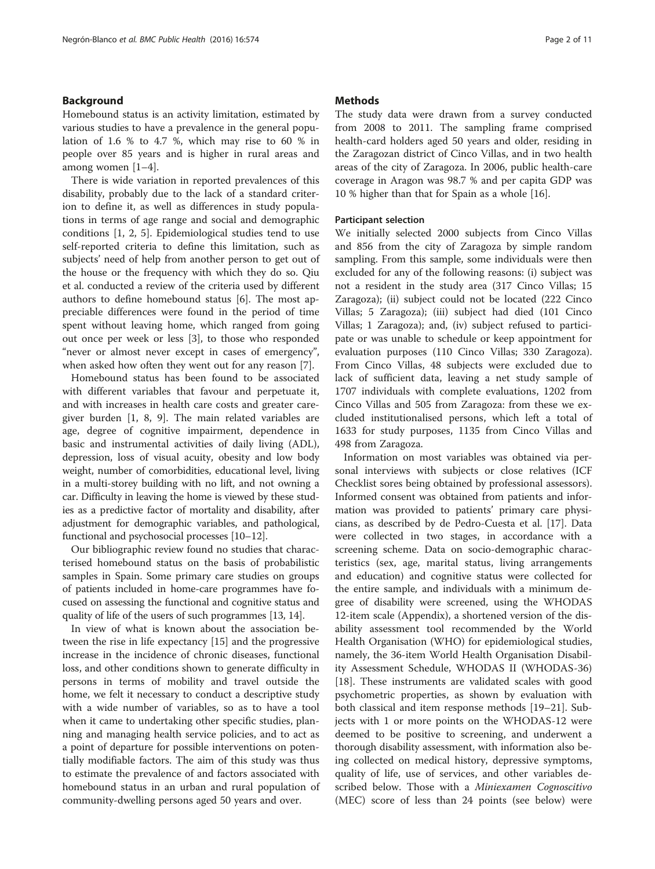# Background

Homebound status is an activity limitation, estimated by various studies to have a prevalence in the general population of 1.6 % to 4.7 %, which may rise to 60 % in people over 85 years and is higher in rural areas and among women [[1](#page-9-0)–[4](#page-9-0)].

There is wide variation in reported prevalences of this disability, probably due to the lack of a standard criterion to define it, as well as differences in study populations in terms of age range and social and demographic conditions [\[1](#page-9-0), [2](#page-9-0), [5](#page-9-0)]. Epidemiological studies tend to use self-reported criteria to define this limitation, such as subjects' need of help from another person to get out of the house or the frequency with which they do so. Qiu et al. conducted a review of the criteria used by different authors to define homebound status [[6\]](#page-9-0). The most appreciable differences were found in the period of time spent without leaving home, which ranged from going out once per week or less [\[3](#page-9-0)], to those who responded "never or almost never except in cases of emergency", when asked how often they went out for any reason [[7\]](#page-9-0).

Homebound status has been found to be associated with different variables that favour and perpetuate it, and with increases in health care costs and greater caregiver burden [[1, 8, 9\]](#page-9-0). The main related variables are age, degree of cognitive impairment, dependence in basic and instrumental activities of daily living (ADL), depression, loss of visual acuity, obesity and low body weight, number of comorbidities, educational level, living in a multi-storey building with no lift, and not owning a car. Difficulty in leaving the home is viewed by these studies as a predictive factor of mortality and disability, after adjustment for demographic variables, and pathological, functional and psychosocial processes [\[10](#page-9-0)–[12](#page-9-0)].

Our bibliographic review found no studies that characterised homebound status on the basis of probabilistic samples in Spain. Some primary care studies on groups of patients included in home-care programmes have focused on assessing the functional and cognitive status and quality of life of the users of such programmes [\[13, 14\]](#page-9-0).

In view of what is known about the association between the rise in life expectancy [[15\]](#page-9-0) and the progressive increase in the incidence of chronic diseases, functional loss, and other conditions shown to generate difficulty in persons in terms of mobility and travel outside the home, we felt it necessary to conduct a descriptive study with a wide number of variables, so as to have a tool when it came to undertaking other specific studies, planning and managing health service policies, and to act as a point of departure for possible interventions on potentially modifiable factors. The aim of this study was thus to estimate the prevalence of and factors associated with homebound status in an urban and rural population of community-dwelling persons aged 50 years and over.

# **Methods**

The study data were drawn from a survey conducted from 2008 to 2011. The sampling frame comprised health-card holders aged 50 years and older, residing in the Zaragozan district of Cinco Villas, and in two health areas of the city of Zaragoza. In 2006, public health-care coverage in Aragon was 98.7 % and per capita GDP was 10 % higher than that for Spain as a whole [\[16](#page-9-0)].

### Participant selection

We initially selected 2000 subjects from Cinco Villas and 856 from the city of Zaragoza by simple random sampling. From this sample, some individuals were then excluded for any of the following reasons: (i) subject was not a resident in the study area (317 Cinco Villas; 15 Zaragoza); (ii) subject could not be located (222 Cinco Villas; 5 Zaragoza); (iii) subject had died (101 Cinco Villas; 1 Zaragoza); and, (iv) subject refused to participate or was unable to schedule or keep appointment for evaluation purposes (110 Cinco Villas; 330 Zaragoza). From Cinco Villas, 48 subjects were excluded due to lack of sufficient data, leaving a net study sample of 1707 individuals with complete evaluations, 1202 from Cinco Villas and 505 from Zaragoza: from these we excluded institutionalised persons, which left a total of 1633 for study purposes, 1135 from Cinco Villas and 498 from Zaragoza.

Information on most variables was obtained via personal interviews with subjects or close relatives (ICF Checklist sores being obtained by professional assessors). Informed consent was obtained from patients and information was provided to patients' primary care physicians, as described by de Pedro-Cuesta et al. [\[17](#page-9-0)]. Data were collected in two stages, in accordance with a screening scheme. Data on socio-demographic characteristics (sex, age, marital status, living arrangements and education) and cognitive status were collected for the entire sample, and individuals with a minimum degree of disability were screened, using the WHODAS 12-item scale [\(Appendix\)](#page-8-0), a shortened version of the disability assessment tool recommended by the World Health Organisation (WHO) for epidemiological studies, namely, the 36-item World Health Organisation Disability Assessment Schedule, WHODAS II (WHODAS-36) [[18\]](#page-9-0). These instruments are validated scales with good psychometric properties, as shown by evaluation with both classical and item response methods [\[19](#page-9-0)–[21\]](#page-10-0). Subjects with 1 or more points on the WHODAS-12 were deemed to be positive to screening, and underwent a thorough disability assessment, with information also being collected on medical history, depressive symptoms, quality of life, use of services, and other variables described below. Those with a *Miniexamen Cognoscitivo* (MEC) score of less than 24 points (see below) were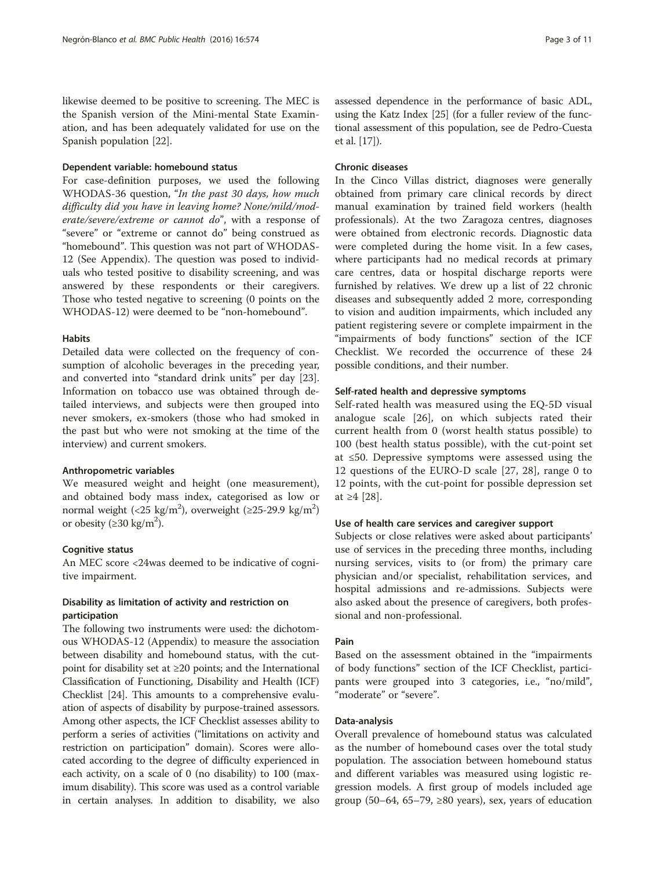likewise deemed to be positive to screening. The MEC is the Spanish version of the Mini-mental State Examination, and has been adequately validated for use on the Spanish population [[22](#page-10-0)].

#### Dependent variable: homebound status

For case-definition purposes, we used the following WHODAS-36 question, "In the past 30 days, how much difficulty did you have in leaving home? None/mild/moderate/severe/extreme or cannot do", with a response of "severe" or "extreme or cannot do" being construed as "homebound". This question was not part of WHODAS-12 (See [Appendix](#page-8-0)). The question was posed to individuals who tested positive to disability screening, and was answered by these respondents or their caregivers. Those who tested negative to screening (0 points on the WHODAS-12) were deemed to be "non-homebound".

#### Habits

Detailed data were collected on the frequency of consumption of alcoholic beverages in the preceding year, and converted into "standard drink units" per day [\[23](#page-10-0)]. Information on tobacco use was obtained through detailed interviews, and subjects were then grouped into never smokers, ex-smokers (those who had smoked in the past but who were not smoking at the time of the interview) and current smokers.

#### Anthropometric variables

We measured weight and height (one measurement), and obtained body mass index, categorised as low or normal weight (<25 kg/m<sup>2</sup>), overweight (≥25-29.9 kg/m<sup>2</sup>) or obesity ( $\geq$ 30 kg/m<sup>2</sup>).

#### Cognitive status

An MEC score <24was deemed to be indicative of cognitive impairment.

# Disability as limitation of activity and restriction on participation

The following two instruments were used: the dichotomous WHODAS-12 [\(Appendix](#page-8-0)) to measure the association between disability and homebound status, with the cutpoint for disability set at ≥20 points; and the International Classification of Functioning, Disability and Health (ICF) Checklist [\[24\]](#page-10-0). This amounts to a comprehensive evaluation of aspects of disability by purpose-trained assessors. Among other aspects, the ICF Checklist assesses ability to perform a series of activities ("limitations on activity and restriction on participation" domain). Scores were allocated according to the degree of difficulty experienced in each activity, on a scale of 0 (no disability) to 100 (maximum disability). This score was used as a control variable in certain analyses. In addition to disability, we also assessed dependence in the performance of basic ADL, using the Katz Index [[25](#page-10-0)] (for a fuller review of the functional assessment of this population, see de Pedro-Cuesta et al. [\[17\]](#page-9-0)).

# Chronic diseases

In the Cinco Villas district, diagnoses were generally obtained from primary care clinical records by direct manual examination by trained field workers (health professionals). At the two Zaragoza centres, diagnoses were obtained from electronic records. Diagnostic data were completed during the home visit. In a few cases, where participants had no medical records at primary care centres, data or hospital discharge reports were furnished by relatives. We drew up a list of 22 chronic diseases and subsequently added 2 more, corresponding to vision and audition impairments, which included any patient registering severe or complete impairment in the "impairments of body functions" section of the ICF Checklist. We recorded the occurrence of these 24 possible conditions, and their number.

#### Self-rated health and depressive symptoms

Self-rated health was measured using the EQ-5D visual analogue scale [[26\]](#page-10-0), on which subjects rated their current health from 0 (worst health status possible) to 100 (best health status possible), with the cut-point set at ≤50. Depressive symptoms were assessed using the 12 questions of the EURO-D scale [\[27](#page-10-0), [28](#page-10-0)], range 0 to 12 points, with the cut-point for possible depression set at ≥4 [\[28](#page-10-0)].

#### Use of health care services and caregiver support

Subjects or close relatives were asked about participants' use of services in the preceding three months, including nursing services, visits to (or from) the primary care physician and/or specialist, rehabilitation services, and hospital admissions and re-admissions. Subjects were also asked about the presence of caregivers, both professional and non-professional.

#### Pain

Based on the assessment obtained in the "impairments of body functions" section of the ICF Checklist, participants were grouped into 3 categories, i.e., "no/mild", "moderate" or "severe".

#### Data-analysis

Overall prevalence of homebound status was calculated as the number of homebound cases over the total study population. The association between homebound status and different variables was measured using logistic regression models. A first group of models included age group (50–64, 65–79,  $\geq 80$  years), sex, years of education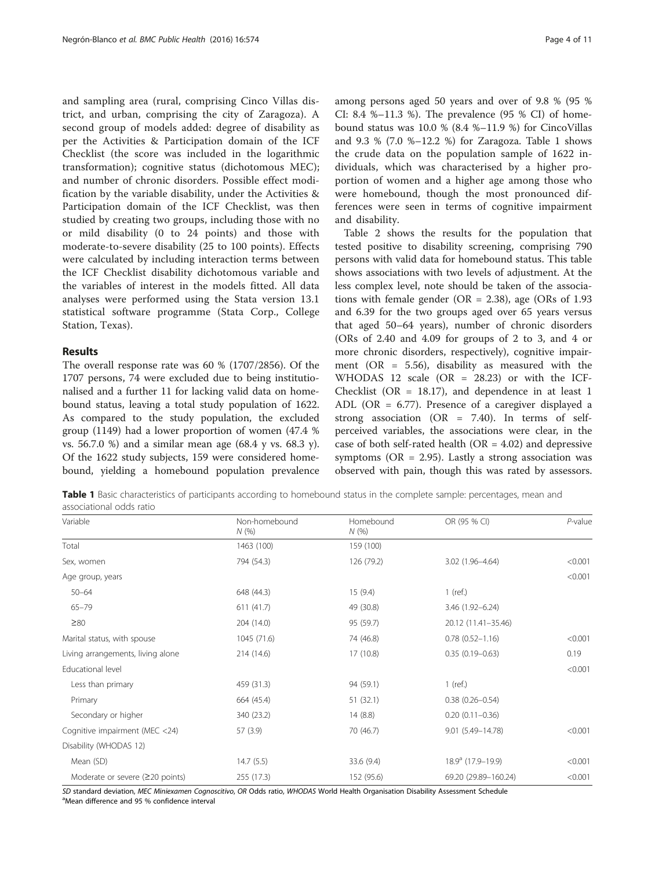and sampling area (rural, comprising Cinco Villas district, and urban, comprising the city of Zaragoza). A second group of models added: degree of disability as per the Activities & Participation domain of the ICF Checklist (the score was included in the logarithmic transformation); cognitive status (dichotomous MEC); and number of chronic disorders. Possible effect modification by the variable disability, under the Activities & Participation domain of the ICF Checklist, was then studied by creating two groups, including those with no or mild disability (0 to 24 points) and those with moderate-to-severe disability (25 to 100 points). Effects were calculated by including interaction terms between the ICF Checklist disability dichotomous variable and the variables of interest in the models fitted. All data analyses were performed using the Stata version 13.1 statistical software programme (Stata Corp., College Station, Texas).

# Results

The overall response rate was 60 % (1707/2856). Of the 1707 persons, 74 were excluded due to being institutionalised and a further 11 for lacking valid data on homebound status, leaving a total study population of 1622. As compared to the study population, the excluded group (1149) had a lower proportion of women (47.4 % vs. 56.7.0 %) and a similar mean age (68.4 y vs. 68.3 y). Of the 1622 study subjects, 159 were considered homebound, yielding a homebound population prevalence among persons aged 50 years and over of 9.8 % (95 % CI: 8.4 %-11.3 %). The prevalence  $(95 % CI)$  of homebound status was  $10.0 % (8.4 %-11.9 %)$  for CincoVillas and 9.3 % (7.0 %–12.2 %) for Zaragoza. Table 1 shows the crude data on the population sample of 1622 individuals, which was characterised by a higher proportion of women and a higher age among those who were homebound, though the most pronounced differences were seen in terms of cognitive impairment and disability.

Table [2](#page-4-0) shows the results for the population that tested positive to disability screening, comprising 790 persons with valid data for homebound status. This table shows associations with two levels of adjustment. At the less complex level, note should be taken of the associations with female gender ( $OR = 2.38$ ), age ( $ORS of 1.93$ and 6.39 for the two groups aged over 65 years versus that aged 50–64 years), number of chronic disorders (ORs of 2.40 and 4.09 for groups of 2 to 3, and 4 or more chronic disorders, respectively), cognitive impairment (OR =  $5.56$ ), disability as measured with the WHODAS 12 scale (OR = 28.23) or with the ICF-Checklist (OR =  $18.17$ ), and dependence in at least 1 ADL (OR = 6.77). Presence of a caregiver displayed a strong association (OR = 7.40). In terms of selfperceived variables, the associations were clear, in the case of both self-rated health ( $OR = 4.02$ ) and depressive symptoms ( $OR = 2.95$ ). Lastly a strong association was observed with pain, though this was rated by assessors.

Table 1 Basic characteristics of participants according to homebound status in the complete sample: percentages, mean and associational odds ratio

| Variable                          | Non-homebound<br>N(%) | Homebound<br>N(% | OR (95 % CI)         | $P$ -value |
|-----------------------------------|-----------------------|------------------|----------------------|------------|
| Total                             | 1463 (100)            | 159 (100)        |                      |            |
| Sex, women                        | 794 (54.3)            | 126 (79.2)       | 3.02 (1.96-4.64)     | < 0.001    |
| Age group, years                  |                       |                  |                      | < 0.001    |
| $50 - 64$                         | 648 (44.3)            | 15(9.4)          | $1$ (ref.)           |            |
| $65 - 79$                         | 611(41.7)             | 49 (30.8)        | 3.46 (1.92-6.24)     |            |
| $\geq 80$                         | 204 (14.0)            | 95 (59.7)        | 20.12 (11.41-35.46)  |            |
| Marital status, with spouse       | 1045 (71.6)           | 74 (46.8)        | $0.78(0.52 - 1.16)$  | < 0.001    |
| Living arrangements, living alone | 214 (14.6)            | 17 (10.8)        | $0.35(0.19 - 0.63)$  | 0.19       |
| Educational level                 |                       |                  |                      | < 0.001    |
| Less than primary                 | 459 (31.3)            | 94 (59.1)        | $1$ (ref.)           |            |
| Primary                           | 664 (45.4)            | 51(32.1)         | $0.38(0.26 - 0.54)$  |            |
| Secondary or higher               | 340 (23.2)            | 14(8.8)          | $0.20(0.11 - 0.36)$  |            |
| Cognitive impairment (MEC <24)    | 57(3.9)               | 70 (46.7)        | 9.01 (5.49-14.78)    | < 0.001    |
| Disability (WHODAS 12)            |                       |                  |                      |            |
| Mean (SD)                         | 14.7(5.5)             | 33.6 (9.4)       | $18.9a$ (17.9-19.9)  | < 0.001    |
| Moderate or severe $(220$ points) | 255 (17.3)            | 152 (95.6)       | 69.20 (29.89-160.24) | < 0.001    |

SD standard deviation, MEC Miniexamen Cognoscitivo, OR Odds ratio, WHODAS World Health Organisation Disability Assessment Schedule

<sup>a</sup>Mean difference and 95 % confidence interval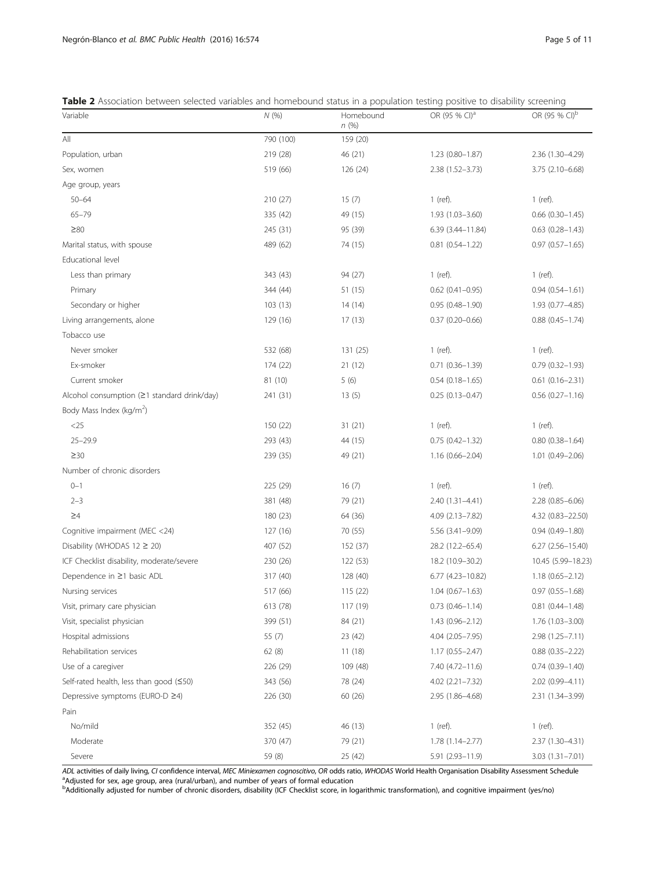<span id="page-4-0"></span>

|  |  |  |  | Table 2 Association between selected variables and homebound status in a population testing positive to disability screening |  |  |
|--|--|--|--|------------------------------------------------------------------------------------------------------------------------------|--|--|
|  |  |  |  |                                                                                                                              |  |  |

| Variable                                    | N(%)      | Homebound<br>n(%) | OR (95 % CI) <sup>a</sup> | OR (95 % CI) <sup>b</sup> |
|---------------------------------------------|-----------|-------------------|---------------------------|---------------------------|
| All                                         | 790 (100) | 159 (20)          |                           |                           |
| Population, urban                           | 219 (28)  | 46 (21)           | 1.23 (0.80-1.87)          | 2.36 (1.30-4.29)          |
| Sex, women                                  | 519 (66)  | 126 (24)          | 2.38 (1.52-3.73)          | 3.75 (2.10-6.68)          |
| Age group, years                            |           |                   |                           |                           |
| $50 - 64$                                   | 210 (27)  | 15(7)             | $1$ (ref).                | $1$ (ref).                |
| $65 - 79$                                   | 335 (42)  | 49 (15)           | 1.93 (1.03-3.60)          | $0.66$ $(0.30-1.45)$      |
| $\geq 80$                                   | 245 (31)  | 95 (39)           | 6.39 (3.44-11.84)         | $0.63$ $(0.28 - 1.43)$    |
| Marital status, with spouse                 | 489 (62)  | 74 (15)           | $0.81$ $(0.54 - 1.22)$    | $0.97(0.57 - 1.65)$       |
| Educational level                           |           |                   |                           |                           |
| Less than primary                           | 343 (43)  | 94 (27)           | 1 (ref).                  | $1$ (ref).                |
| Primary                                     | 344 (44)  | 51 (15)           | $0.62$ (0.41-0.95)        | $0.94(0.54 - 1.61)$       |
| Secondary or higher                         | 103(13)   | 14 (14)           | $0.95(0.48 - 1.90)$       | $1.93(0.77 - 4.85)$       |
| Living arrangements, alone                  | 129 (16)  | 17(13)            | $0.37(0.20 - 0.66)$       | $0.88$ $(0.45 - 1.74)$    |
| Tobacco use                                 |           |                   |                           |                           |
| Never smoker                                | 532 (68)  | 131 (25)          | $1$ (ref).                | $1$ (ref).                |
| Ex-smoker                                   | 174 (22)  | 21(12)            | $0.71(0.36 - 1.39)$       | $0.79(0.32 - 1.93)$       |
| Current smoker                              | 81 (10)   | 5(6)              | $0.54(0.18 - 1.65)$       | $0.61(0.16 - 2.31)$       |
| Alcohol consumption (≥1 standard drink/day) | 241 (31)  | 13(5)             | $0.25(0.13 - 0.47)$       | $0.56$ $(0.27 - 1.16)$    |
| Body Mass Index (kg/m <sup>2</sup> )        |           |                   |                           |                           |
| $<$ 25                                      | 150 (22)  | 31(21)            | 1 (ref).                  | $1$ (ref).                |
| $25 - 29.9$                                 | 293 (43)  | 44 (15)           | $0.75(0.42 - 1.32)$       | $0.80(0.38 - 1.64)$       |
| $\geq$ 30                                   | 239 (35)  | 49 (21)           | $1.16(0.66 - 2.04)$       | $1.01(0.49 - 2.06)$       |
| Number of chronic disorders                 |           |                   |                           |                           |
| $0 - 1$                                     | 225 (29)  | 16(7)             | $1$ (ref).                | $1$ (ref).                |
| $2 - 3$                                     | 381 (48)  | 79 (21)           | 2.40 (1.31-4.41)          | $2.28(0.85 - 6.06)$       |
| $\geq 4$                                    | 180 (23)  | 64 (36)           | 4.09 (2.13-7.82)          | 4.32 (0.83-22.50)         |
| Cognitive impairment (MEC <24)              | 127 (16)  | 70 (55)           | 5.56 (3.41-9.09)          | $0.94(0.49 - 1.80)$       |
| Disability (WHODAS $12 \ge 20$ )            | 407 (52)  | 152 (37)          | 28.2 (12.2-65.4)          | $6.27$ $(2.56 - 15.40)$   |
| ICF Checklist disability, moderate/severe   | 230 (26)  | 122 (53)          | 18.2 (10.9-30.2)          | 10.45 (5.99-18.23)        |
| Dependence in ≥1 basic ADL                  | 317 (40)  | 128 (40)          | 6.77 (4.23-10.82)         | $1.18(0.65 - 2.12)$       |
| Nursing services                            | 517 (66)  | 115 (22)          | $1.04(0.67 - 1.63)$       | $0.97(0.55 - 1.68)$       |
| Visit, primary care physician               | 613 (78)  | 117 (19)          | $0.73$ $(0.46 - 1.14)$    | $0.81$ $(0.44 - 1.48)$    |
| Visit, specialist physician                 | 399 (51)  | 84 (21)           | $1.43(0.96 - 2.12)$       | 1.76 (1.03-3.00)          |
| Hospital admissions                         | 55 $(7)$  | 23 (42)           | $4.04(2.05 - 7.95)$       | $2.98(1.25 - 7.11)$       |
| Rehabilitation services                     | 62(8)     | 11(18)            | $1.17(0.55 - 2.47)$       | $0.88$ $(0.35 - 2.22)$    |
| Use of a caregiver                          | 226 (29)  | 109 (48)          | 7.40 (4.72-11.6)          | $0.74(0.39 - 1.40)$       |
| Self-rated health, less than good $(50)$    | 343 (56)  | 78 (24)           | $4.02$ $(2.21 - 7.32)$    | $2.02(0.99 - 4.11)$       |
| Depressive symptoms (EURO-D ≥4)             | 226 (30)  | 60 (26)           | 2.95 (1.86-4.68)          | 2.31 (1.34 - 3.99)        |
| Pain                                        |           |                   |                           |                           |
| No/mild                                     | 352 (45)  | 46 (13)           | 1 (ref).                  | 1 (ref).                  |
| Moderate                                    | 370 (47)  | 79 (21)           | 1.78 (1.14-2.77)          | 2.37 (1.30-4.31)          |
| Severe                                      | 59 (8)    | 25 (42)           | 5.91 (2.93-11.9)          | $3.03(1.31 - 7.01)$       |

ADL activities of daily living, CI confidence interval, MEC Miniexamen cognoscitivo, OR odds ratio, WHODAS World Health Organisation Disability Assessment Schedule<br><sup>a</sup>Adjusted for sex, age group, area (rural/urban), and nu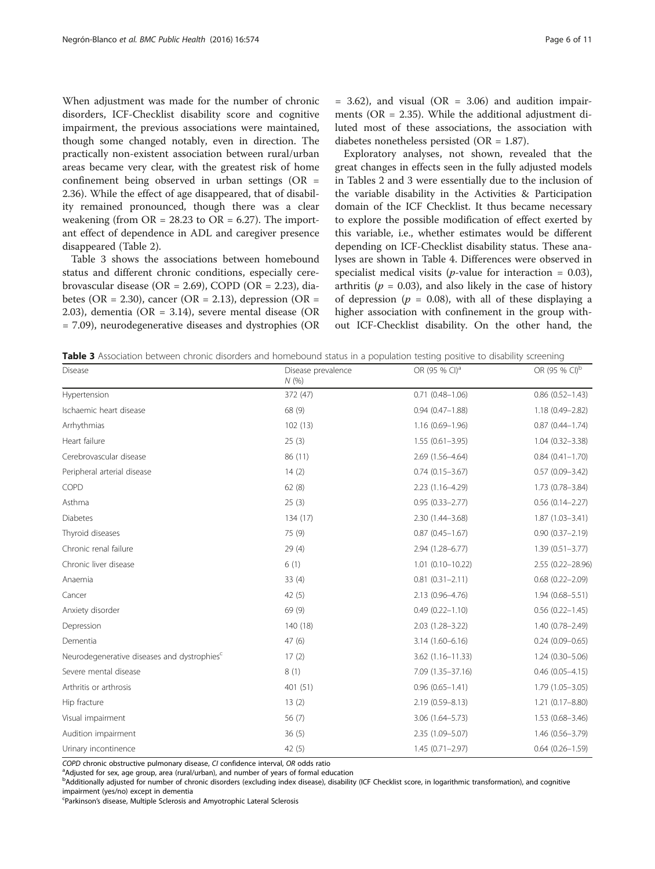When adjustment was made for the number of chronic disorders, ICF-Checklist disability score and cognitive impairment, the previous associations were maintained, though some changed notably, even in direction. The practically non-existent association between rural/urban areas became very clear, with the greatest risk of home confinement being observed in urban settings (OR = 2.36). While the effect of age disappeared, that of disability remained pronounced, though there was a clear weakening (from  $OR = 28.23$  to  $OR = 6.27$ ). The important effect of dependence in ADL and caregiver presence disappeared (Table [2](#page-4-0)).

Table 3 shows the associations between homebound status and different chronic conditions, especially cerebrovascular disease (OR = 2.69), COPD (OR = 2.23), diabetes (OR = 2.30), cancer (OR = 2.13), depression (OR = 2.03), dementia (OR = 3.14), severe mental disease (OR = 7.09), neurodegenerative diseases and dystrophies (OR

 $= 3.62$ ), and visual (OR  $= 3.06$ ) and audition impairments (OR = 2.35). While the additional adjustment diluted most of these associations, the association with diabetes nonetheless persisted (OR = 1.87).

Exploratory analyses, not shown, revealed that the great changes in effects seen in the fully adjusted models in Tables [2](#page-4-0) and 3 were essentially due to the inclusion of the variable disability in the Activities & Participation domain of the ICF Checklist. It thus became necessary to explore the possible modification of effect exerted by this variable, i.e., whether estimates would be different depending on ICF-Checklist disability status. These analyses are shown in Table [4.](#page-6-0) Differences were observed in specialist medical visits (*p*-value for interaction =  $0.03$ ), arthritis ( $p = 0.03$ ), and also likely in the case of history of depression ( $p = 0.08$ ), with all of these displaying a higher association with confinement in the group without ICF-Checklist disability. On the other hand, the

Table 3 Association between chronic disorders and homebound status in a population testing positive to disability screening

| Disease                                                 | Disease prevalence<br>N(% | OR (95 % CI) <sup>a</sup> | OR (95 % CI) <sup>b</sup> |
|---------------------------------------------------------|---------------------------|---------------------------|---------------------------|
| Hypertension                                            | 372 (47)                  | $0.71(0.48 - 1.06)$       | $0.86(0.52 - 1.43)$       |
| Ischaemic heart disease                                 | 68 (9)                    | $0.94(0.47 - 1.88)$       | $1.18(0.49 - 2.82)$       |
| Arrhythmias                                             | 102(13)                   | $1.16(0.69 - 1.96)$       | $0.87(0.44 - 1.74)$       |
| Heart failure                                           | 25(3)                     | $1.55(0.61 - 3.95)$       | $1.04(0.32 - 3.38)$       |
| Cerebrovascular disease                                 | 86 (11)                   | 2.69 (1.56-4.64)          | $0.84(0.41 - 1.70)$       |
| Peripheral arterial disease                             | 14(2)                     | $0.74(0.15 - 3.67)$       | $0.57(0.09 - 3.42)$       |
| COPD                                                    | 62(8)                     | 2.23 (1.16-4.29)          | 1.73 (0.78-3.84)          |
| Asthma                                                  | 25(3)                     | $0.95(0.33 - 2.77)$       | $0.56(0.14 - 2.27)$       |
| <b>Diabetes</b>                                         | 134 (17)                  | 2.30 (1.44-3.68)          | $1.87(1.03 - 3.41)$       |
| Thyroid diseases                                        | 75 (9)                    | $0.87(0.45 - 1.67)$       | $0.90(0.37 - 2.19)$       |
| Chronic renal failure                                   | 29(4)                     | 2.94 (1.28-6.77)          | $1.39(0.51 - 3.77)$       |
| Chronic liver disease                                   | 6(1)                      | $1.01$ (0.10-10.22)       | 2.55 (0.22-28.96)         |
| Anaemia                                                 | 33(4)                     | $0.81(0.31 - 2.11)$       | $0.68(0.22 - 2.09)$       |
| Cancer                                                  | 42(5)                     | 2.13 (0.96-4.76)          | $1.94(0.68 - 5.51)$       |
| Anxiety disorder                                        | 69 (9)                    | $0.49(0.22 - 1.10)$       | $0.56(0.22 - 1.45)$       |
| Depression                                              | 140 (18)                  | $2.03(1.28 - 3.22)$       | $1.40(0.78 - 2.49)$       |
| Dementia                                                | 47(6)                     | $3.14(1.60 - 6.16)$       | $0.24(0.09 - 0.65)$       |
| Neurodegenerative diseases and dystrophies <sup>c</sup> | 17(2)                     | $3.62(1.16 - 11.33)$      | $1.24(0.30 - 5.06)$       |
| Severe mental disease                                   | 8(1)                      | 7.09 (1.35-37.16)         | $0.46(0.05 - 4.15)$       |
| Arthritis or arthrosis                                  | 401 (51)                  | $0.96(0.65 - 1.41)$       | $1.79(1.05 - 3.05)$       |
| Hip fracture                                            | 13(2)                     | 2.19 (0.59-8.13)          | $1.21(0.17 - 8.80)$       |
| Visual impairment                                       | 56(7)                     | $3.06(1.64 - 5.73)$       | $1.53(0.68 - 3.46)$       |
| Audition impairment                                     | 36(5)                     | 2.35 (1.09-5.07)          | 1.46 (0.56-3.79)          |
| Urinary incontinence                                    | 42(5)                     | $1.45(0.71 - 2.97)$       | $0.64(0.26 - 1.59)$       |

COPD chronic obstructive pulmonary disease, CI confidence interval, OR odds ratio

<sup>a</sup>Adjusted for sex, age group, area (rural/urban), and number of years of formal education

b<br>Additionally adjusted for number of chronic disorders (excluding index disease), disability (ICF Checklist score, in logarithmic transformation), and cognitive impairment (yes/no) except in dementia

Parkinson's disease, Multiple Sclerosis and Amyotrophic Lateral Sclerosis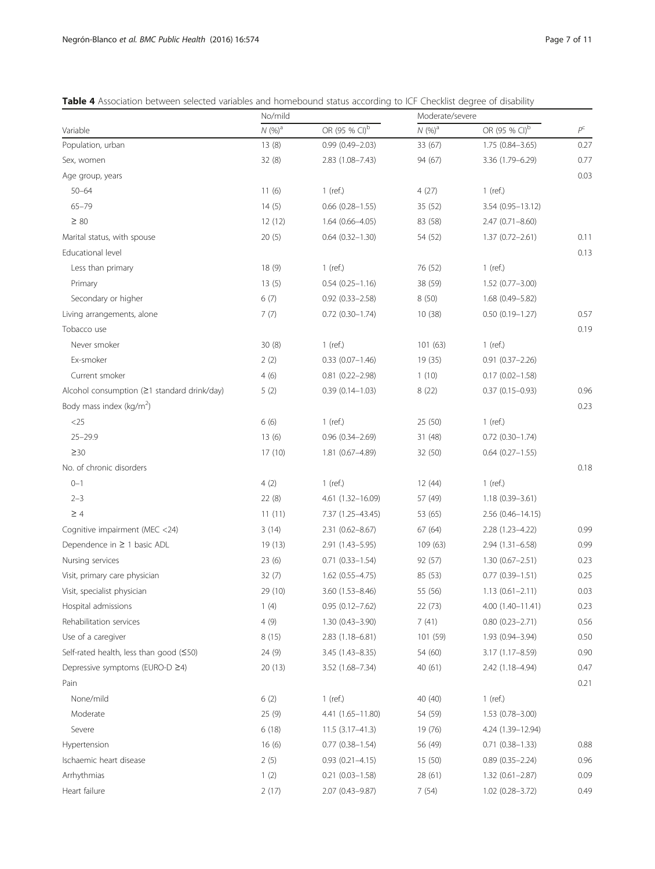<span id="page-6-0"></span>

|  |  |  |  | Table 4 Association between selected variables and homebound status according to ICF Checklist degree of disability |  |  |  |  |  |  |  |
|--|--|--|--|---------------------------------------------------------------------------------------------------------------------|--|--|--|--|--|--|--|
|--|--|--|--|---------------------------------------------------------------------------------------------------------------------|--|--|--|--|--|--|--|

| OR (95 % CI) <sup>b</sup><br>OR (95 % CI) <sup>b</sup><br>$N(%)^a$<br>$N(96)^{a}$<br>$P^{\mathsf{C}}$<br>Variable<br>13(8)<br>33 (67)<br>Population, urban<br>$0.99(0.49 - 2.03)$<br>$1.75(0.84 - 3.65)$<br>0.27<br>32(8)<br>0.77<br>Sex, women<br>$2.83(1.08 - 7.43)$<br>94 (67)<br>3.36 (1.79-6.29)<br>0.03<br>Age group, years<br>11(6)<br>4(27)<br>$50 - 64$<br>$1$ (ref.)<br>$1$ (ref.)<br>$65 - 79$<br>14(5)<br>$0.66$ $(0.28 - 1.55)$<br>35 (52)<br>3.54 (0.95-13.12)<br>$\geq 80$<br>12(12)<br>$1.64(0.66 - 4.05)$<br>83 (58)<br>$2.47(0.71 - 8.60)$<br>20(5)<br>$0.64$ $(0.32 - 1.30)$<br>54 (52)<br>Marital status, with spouse<br>$1.37(0.72 - 2.61)$<br>0.11<br>Educational level<br>0.13<br>Less than primary<br>18(9)<br>76 (52)<br>$1$ (ref.)<br>$1$ (ref.)<br>13(5)<br>38 (59)<br>Primary<br>$0.54(0.25 - 1.16)$<br>$1.52(0.77 - 3.00)$<br>Secondary or higher<br>6(7)<br>1.68 (0.49-5.82)<br>$0.92(0.33 - 2.58)$<br>8(50)<br>7(7)<br>Living arrangements, alone<br>$0.72$ $(0.30 - 1.74)$<br>10(38)<br>$0.50(0.19 - 1.27)$<br>0.57<br>Tobacco use<br>0.19<br>Never smoker<br>30(8)<br>$1$ (ref.)<br>101(63)<br>$1$ (ref.)<br>Ex-smoker<br>2(2)<br>19 (35)<br>$0.33(0.07 - 1.46)$<br>$0.91(0.37 - 2.26)$<br>Current smoker<br>4(6)<br>$0.81(0.22 - 2.98)$<br>1(10)<br>$0.17(0.02 - 1.58)$<br>Alcohol consumption (21 standard drink/day)<br>5(2)<br>8(22)<br>$0.37(0.15 - 0.93)$<br>0.96<br>$0.39(0.14 - 1.03)$<br>Body mass index (kg/m <sup>2</sup> )<br>0.23<br>6(6)<br>25 (50)<br>$<$ 25<br>$1$ (ref.)<br>$1$ (ref.)<br>$25 - 29.9$<br>13(6)<br>$0.96(0.34 - 2.69)$<br>31 (48)<br>$0.72$ $(0.30 - 1.74)$<br>$\geq 30$<br>17(10)<br>1.81 (0.67-4.89)<br>32 (50)<br>$0.64$ $(0.27 - 1.55)$<br>No. of chronic disorders<br>0.18<br>$0 - 1$<br>4(2)<br>$1$ (ref.)<br>12(44)<br>$1$ (ref.)<br>$2 - 3$<br>22(8)<br>4.61 (1.32-16.09)<br>57 (49)<br>$1.18(0.39 - 3.61)$<br>11(11)<br>$\geq 4$<br>7.37 (1.25-43.45)<br>53 (65)<br>$2.56(0.46 - 14.15)$<br>Cognitive impairment (MEC <24)<br>3(14)<br>0.99<br>$2.31(0.62 - 8.67)$<br>67(64)<br>2.28 (1.23-4.22)<br>0.99<br>Dependence in $\geq$ 1 basic ADL<br>19 (13)<br>2.91 (1.43-5.95)<br>109 (63)<br>2.94 (1.31-6.58)<br>92 (57)<br>0.23<br>Nursing services<br>23(6)<br>$0.71(0.33 - 1.54)$<br>$1.30(0.67 - 2.51)$<br>$0.77(0.39 - 1.51)$<br>0.25<br>Visit, primary care physician<br>32(7)<br>$1.62(0.55 - 4.75)$<br>85(53)<br>0.03<br>Visit, specialist physician<br>29 (10)<br>$3.60(1.53 - 8.46)$<br>$1.13(0.61 - 2.11)$<br>55 (56)<br>Hospital admissions<br>1(4)<br>$0.95(0.12 - 7.62)$<br>22 (73)<br>$4.00(1.40 - 11.41)$<br>0.23<br>Rehabilitation services<br>4(9)<br>7(41)<br>0.56<br>$1.30(0.43 - 3.90)$<br>$0.80(0.23 - 2.71)$<br>8(15)<br>101 (59)<br>0.50<br>Use of a caregiver<br>$2.83(1.18-6.81)$<br>1.93 (0.94-3.94)<br>Self-rated health, less than good (≤50)<br>24 (9)<br>54 (60)<br>0.90<br>3.45 (1.43-8.35)<br>3.17 (1.17-8.59)<br>Depressive symptoms (EURO-D ≥4)<br>20 (13)<br>0.47<br>3.52 (1.68-7.34)<br>40 (61)<br>2.42 (1.18-4.94)<br>0.21<br>Pain<br>None/mild<br>6(2)<br>$1$ (ref.)<br>40 (40)<br>$1$ (ref.)<br>Moderate<br>25 (9)<br>4.41 (1.65-11.80)<br>54 (59)<br>$1.53(0.78 - 3.00)$<br>Severe<br>6(18)<br>$11.5(3.17 - 41.3)$<br>19 (76)<br>4.24 (1.39–12.94)<br>16(6)<br>Hypertension<br>$0.77(0.38 - 1.54)$<br>56 (49)<br>$0.71(0.38 - 1.33)$<br>0.88<br>Ischaemic heart disease<br>2(5)<br>0.96<br>$0.93(0.21 - 4.15)$<br>15 (50)<br>$0.89(0.35 - 2.24)$<br>Arrhythmias<br>1(2)<br>$0.21(0.03 - 1.58)$<br>28 (61)<br>$1.32(0.61 - 2.87)$<br>0.09<br>Heart failure<br>2(17)<br>7(54)<br>2.07 (0.43-9.87)<br>1.02 (0.28-3.72)<br>0.49 | No/mild | Moderate/severe |  |  |  |
|----------------------------------------------------------------------------------------------------------------------------------------------------------------------------------------------------------------------------------------------------------------------------------------------------------------------------------------------------------------------------------------------------------------------------------------------------------------------------------------------------------------------------------------------------------------------------------------------------------------------------------------------------------------------------------------------------------------------------------------------------------------------------------------------------------------------------------------------------------------------------------------------------------------------------------------------------------------------------------------------------------------------------------------------------------------------------------------------------------------------------------------------------------------------------------------------------------------------------------------------------------------------------------------------------------------------------------------------------------------------------------------------------------------------------------------------------------------------------------------------------------------------------------------------------------------------------------------------------------------------------------------------------------------------------------------------------------------------------------------------------------------------------------------------------------------------------------------------------------------------------------------------------------------------------------------------------------------------------------------------------------------------------------------------------------------------------------------------------------------------------------------------------------------------------------------------------------------------------------------------------------------------------------------------------------------------------------------------------------------------------------------------------------------------------------------------------------------------------------------------------------------------------------------------------------------------------------------------------------------------------------------------------------------------------------------------------------------------------------------------------------------------------------------------------------------------------------------------------------------------------------------------------------------------------------------------------------------------------------------------------------------------------------------------------------------------------------------------------------------------------------------------------------------------------------------------------------------------------------------------------------------------------------------------------------------------------------------------------------------------------------------------------------------------------------------------------------------------------------------------------------------------------------------------------------------------------------------------------------------------------------------------|---------|-----------------|--|--|--|
|                                                                                                                                                                                                                                                                                                                                                                                                                                                                                                                                                                                                                                                                                                                                                                                                                                                                                                                                                                                                                                                                                                                                                                                                                                                                                                                                                                                                                                                                                                                                                                                                                                                                                                                                                                                                                                                                                                                                                                                                                                                                                                                                                                                                                                                                                                                                                                                                                                                                                                                                                                                                                                                                                                                                                                                                                                                                                                                                                                                                                                                                                                                                                                                                                                                                                                                                                                                                                                                                                                                                                                                                                                              |         |                 |  |  |  |
|                                                                                                                                                                                                                                                                                                                                                                                                                                                                                                                                                                                                                                                                                                                                                                                                                                                                                                                                                                                                                                                                                                                                                                                                                                                                                                                                                                                                                                                                                                                                                                                                                                                                                                                                                                                                                                                                                                                                                                                                                                                                                                                                                                                                                                                                                                                                                                                                                                                                                                                                                                                                                                                                                                                                                                                                                                                                                                                                                                                                                                                                                                                                                                                                                                                                                                                                                                                                                                                                                                                                                                                                                                              |         |                 |  |  |  |
|                                                                                                                                                                                                                                                                                                                                                                                                                                                                                                                                                                                                                                                                                                                                                                                                                                                                                                                                                                                                                                                                                                                                                                                                                                                                                                                                                                                                                                                                                                                                                                                                                                                                                                                                                                                                                                                                                                                                                                                                                                                                                                                                                                                                                                                                                                                                                                                                                                                                                                                                                                                                                                                                                                                                                                                                                                                                                                                                                                                                                                                                                                                                                                                                                                                                                                                                                                                                                                                                                                                                                                                                                                              |         |                 |  |  |  |
|                                                                                                                                                                                                                                                                                                                                                                                                                                                                                                                                                                                                                                                                                                                                                                                                                                                                                                                                                                                                                                                                                                                                                                                                                                                                                                                                                                                                                                                                                                                                                                                                                                                                                                                                                                                                                                                                                                                                                                                                                                                                                                                                                                                                                                                                                                                                                                                                                                                                                                                                                                                                                                                                                                                                                                                                                                                                                                                                                                                                                                                                                                                                                                                                                                                                                                                                                                                                                                                                                                                                                                                                                                              |         |                 |  |  |  |
|                                                                                                                                                                                                                                                                                                                                                                                                                                                                                                                                                                                                                                                                                                                                                                                                                                                                                                                                                                                                                                                                                                                                                                                                                                                                                                                                                                                                                                                                                                                                                                                                                                                                                                                                                                                                                                                                                                                                                                                                                                                                                                                                                                                                                                                                                                                                                                                                                                                                                                                                                                                                                                                                                                                                                                                                                                                                                                                                                                                                                                                                                                                                                                                                                                                                                                                                                                                                                                                                                                                                                                                                                                              |         |                 |  |  |  |
|                                                                                                                                                                                                                                                                                                                                                                                                                                                                                                                                                                                                                                                                                                                                                                                                                                                                                                                                                                                                                                                                                                                                                                                                                                                                                                                                                                                                                                                                                                                                                                                                                                                                                                                                                                                                                                                                                                                                                                                                                                                                                                                                                                                                                                                                                                                                                                                                                                                                                                                                                                                                                                                                                                                                                                                                                                                                                                                                                                                                                                                                                                                                                                                                                                                                                                                                                                                                                                                                                                                                                                                                                                              |         |                 |  |  |  |
|                                                                                                                                                                                                                                                                                                                                                                                                                                                                                                                                                                                                                                                                                                                                                                                                                                                                                                                                                                                                                                                                                                                                                                                                                                                                                                                                                                                                                                                                                                                                                                                                                                                                                                                                                                                                                                                                                                                                                                                                                                                                                                                                                                                                                                                                                                                                                                                                                                                                                                                                                                                                                                                                                                                                                                                                                                                                                                                                                                                                                                                                                                                                                                                                                                                                                                                                                                                                                                                                                                                                                                                                                                              |         |                 |  |  |  |
|                                                                                                                                                                                                                                                                                                                                                                                                                                                                                                                                                                                                                                                                                                                                                                                                                                                                                                                                                                                                                                                                                                                                                                                                                                                                                                                                                                                                                                                                                                                                                                                                                                                                                                                                                                                                                                                                                                                                                                                                                                                                                                                                                                                                                                                                                                                                                                                                                                                                                                                                                                                                                                                                                                                                                                                                                                                                                                                                                                                                                                                                                                                                                                                                                                                                                                                                                                                                                                                                                                                                                                                                                                              |         |                 |  |  |  |
|                                                                                                                                                                                                                                                                                                                                                                                                                                                                                                                                                                                                                                                                                                                                                                                                                                                                                                                                                                                                                                                                                                                                                                                                                                                                                                                                                                                                                                                                                                                                                                                                                                                                                                                                                                                                                                                                                                                                                                                                                                                                                                                                                                                                                                                                                                                                                                                                                                                                                                                                                                                                                                                                                                                                                                                                                                                                                                                                                                                                                                                                                                                                                                                                                                                                                                                                                                                                                                                                                                                                                                                                                                              |         |                 |  |  |  |
|                                                                                                                                                                                                                                                                                                                                                                                                                                                                                                                                                                                                                                                                                                                                                                                                                                                                                                                                                                                                                                                                                                                                                                                                                                                                                                                                                                                                                                                                                                                                                                                                                                                                                                                                                                                                                                                                                                                                                                                                                                                                                                                                                                                                                                                                                                                                                                                                                                                                                                                                                                                                                                                                                                                                                                                                                                                                                                                                                                                                                                                                                                                                                                                                                                                                                                                                                                                                                                                                                                                                                                                                                                              |         |                 |  |  |  |
|                                                                                                                                                                                                                                                                                                                                                                                                                                                                                                                                                                                                                                                                                                                                                                                                                                                                                                                                                                                                                                                                                                                                                                                                                                                                                                                                                                                                                                                                                                                                                                                                                                                                                                                                                                                                                                                                                                                                                                                                                                                                                                                                                                                                                                                                                                                                                                                                                                                                                                                                                                                                                                                                                                                                                                                                                                                                                                                                                                                                                                                                                                                                                                                                                                                                                                                                                                                                                                                                                                                                                                                                                                              |         |                 |  |  |  |
|                                                                                                                                                                                                                                                                                                                                                                                                                                                                                                                                                                                                                                                                                                                                                                                                                                                                                                                                                                                                                                                                                                                                                                                                                                                                                                                                                                                                                                                                                                                                                                                                                                                                                                                                                                                                                                                                                                                                                                                                                                                                                                                                                                                                                                                                                                                                                                                                                                                                                                                                                                                                                                                                                                                                                                                                                                                                                                                                                                                                                                                                                                                                                                                                                                                                                                                                                                                                                                                                                                                                                                                                                                              |         |                 |  |  |  |
|                                                                                                                                                                                                                                                                                                                                                                                                                                                                                                                                                                                                                                                                                                                                                                                                                                                                                                                                                                                                                                                                                                                                                                                                                                                                                                                                                                                                                                                                                                                                                                                                                                                                                                                                                                                                                                                                                                                                                                                                                                                                                                                                                                                                                                                                                                                                                                                                                                                                                                                                                                                                                                                                                                                                                                                                                                                                                                                                                                                                                                                                                                                                                                                                                                                                                                                                                                                                                                                                                                                                                                                                                                              |         |                 |  |  |  |
|                                                                                                                                                                                                                                                                                                                                                                                                                                                                                                                                                                                                                                                                                                                                                                                                                                                                                                                                                                                                                                                                                                                                                                                                                                                                                                                                                                                                                                                                                                                                                                                                                                                                                                                                                                                                                                                                                                                                                                                                                                                                                                                                                                                                                                                                                                                                                                                                                                                                                                                                                                                                                                                                                                                                                                                                                                                                                                                                                                                                                                                                                                                                                                                                                                                                                                                                                                                                                                                                                                                                                                                                                                              |         |                 |  |  |  |
|                                                                                                                                                                                                                                                                                                                                                                                                                                                                                                                                                                                                                                                                                                                                                                                                                                                                                                                                                                                                                                                                                                                                                                                                                                                                                                                                                                                                                                                                                                                                                                                                                                                                                                                                                                                                                                                                                                                                                                                                                                                                                                                                                                                                                                                                                                                                                                                                                                                                                                                                                                                                                                                                                                                                                                                                                                                                                                                                                                                                                                                                                                                                                                                                                                                                                                                                                                                                                                                                                                                                                                                                                                              |         |                 |  |  |  |
|                                                                                                                                                                                                                                                                                                                                                                                                                                                                                                                                                                                                                                                                                                                                                                                                                                                                                                                                                                                                                                                                                                                                                                                                                                                                                                                                                                                                                                                                                                                                                                                                                                                                                                                                                                                                                                                                                                                                                                                                                                                                                                                                                                                                                                                                                                                                                                                                                                                                                                                                                                                                                                                                                                                                                                                                                                                                                                                                                                                                                                                                                                                                                                                                                                                                                                                                                                                                                                                                                                                                                                                                                                              |         |                 |  |  |  |
|                                                                                                                                                                                                                                                                                                                                                                                                                                                                                                                                                                                                                                                                                                                                                                                                                                                                                                                                                                                                                                                                                                                                                                                                                                                                                                                                                                                                                                                                                                                                                                                                                                                                                                                                                                                                                                                                                                                                                                                                                                                                                                                                                                                                                                                                                                                                                                                                                                                                                                                                                                                                                                                                                                                                                                                                                                                                                                                                                                                                                                                                                                                                                                                                                                                                                                                                                                                                                                                                                                                                                                                                                                              |         |                 |  |  |  |
|                                                                                                                                                                                                                                                                                                                                                                                                                                                                                                                                                                                                                                                                                                                                                                                                                                                                                                                                                                                                                                                                                                                                                                                                                                                                                                                                                                                                                                                                                                                                                                                                                                                                                                                                                                                                                                                                                                                                                                                                                                                                                                                                                                                                                                                                                                                                                                                                                                                                                                                                                                                                                                                                                                                                                                                                                                                                                                                                                                                                                                                                                                                                                                                                                                                                                                                                                                                                                                                                                                                                                                                                                                              |         |                 |  |  |  |
|                                                                                                                                                                                                                                                                                                                                                                                                                                                                                                                                                                                                                                                                                                                                                                                                                                                                                                                                                                                                                                                                                                                                                                                                                                                                                                                                                                                                                                                                                                                                                                                                                                                                                                                                                                                                                                                                                                                                                                                                                                                                                                                                                                                                                                                                                                                                                                                                                                                                                                                                                                                                                                                                                                                                                                                                                                                                                                                                                                                                                                                                                                                                                                                                                                                                                                                                                                                                                                                                                                                                                                                                                                              |         |                 |  |  |  |
|                                                                                                                                                                                                                                                                                                                                                                                                                                                                                                                                                                                                                                                                                                                                                                                                                                                                                                                                                                                                                                                                                                                                                                                                                                                                                                                                                                                                                                                                                                                                                                                                                                                                                                                                                                                                                                                                                                                                                                                                                                                                                                                                                                                                                                                                                                                                                                                                                                                                                                                                                                                                                                                                                                                                                                                                                                                                                                                                                                                                                                                                                                                                                                                                                                                                                                                                                                                                                                                                                                                                                                                                                                              |         |                 |  |  |  |
|                                                                                                                                                                                                                                                                                                                                                                                                                                                                                                                                                                                                                                                                                                                                                                                                                                                                                                                                                                                                                                                                                                                                                                                                                                                                                                                                                                                                                                                                                                                                                                                                                                                                                                                                                                                                                                                                                                                                                                                                                                                                                                                                                                                                                                                                                                                                                                                                                                                                                                                                                                                                                                                                                                                                                                                                                                                                                                                                                                                                                                                                                                                                                                                                                                                                                                                                                                                                                                                                                                                                                                                                                                              |         |                 |  |  |  |
|                                                                                                                                                                                                                                                                                                                                                                                                                                                                                                                                                                                                                                                                                                                                                                                                                                                                                                                                                                                                                                                                                                                                                                                                                                                                                                                                                                                                                                                                                                                                                                                                                                                                                                                                                                                                                                                                                                                                                                                                                                                                                                                                                                                                                                                                                                                                                                                                                                                                                                                                                                                                                                                                                                                                                                                                                                                                                                                                                                                                                                                                                                                                                                                                                                                                                                                                                                                                                                                                                                                                                                                                                                              |         |                 |  |  |  |
|                                                                                                                                                                                                                                                                                                                                                                                                                                                                                                                                                                                                                                                                                                                                                                                                                                                                                                                                                                                                                                                                                                                                                                                                                                                                                                                                                                                                                                                                                                                                                                                                                                                                                                                                                                                                                                                                                                                                                                                                                                                                                                                                                                                                                                                                                                                                                                                                                                                                                                                                                                                                                                                                                                                                                                                                                                                                                                                                                                                                                                                                                                                                                                                                                                                                                                                                                                                                                                                                                                                                                                                                                                              |         |                 |  |  |  |
|                                                                                                                                                                                                                                                                                                                                                                                                                                                                                                                                                                                                                                                                                                                                                                                                                                                                                                                                                                                                                                                                                                                                                                                                                                                                                                                                                                                                                                                                                                                                                                                                                                                                                                                                                                                                                                                                                                                                                                                                                                                                                                                                                                                                                                                                                                                                                                                                                                                                                                                                                                                                                                                                                                                                                                                                                                                                                                                                                                                                                                                                                                                                                                                                                                                                                                                                                                                                                                                                                                                                                                                                                                              |         |                 |  |  |  |
|                                                                                                                                                                                                                                                                                                                                                                                                                                                                                                                                                                                                                                                                                                                                                                                                                                                                                                                                                                                                                                                                                                                                                                                                                                                                                                                                                                                                                                                                                                                                                                                                                                                                                                                                                                                                                                                                                                                                                                                                                                                                                                                                                                                                                                                                                                                                                                                                                                                                                                                                                                                                                                                                                                                                                                                                                                                                                                                                                                                                                                                                                                                                                                                                                                                                                                                                                                                                                                                                                                                                                                                                                                              |         |                 |  |  |  |
|                                                                                                                                                                                                                                                                                                                                                                                                                                                                                                                                                                                                                                                                                                                                                                                                                                                                                                                                                                                                                                                                                                                                                                                                                                                                                                                                                                                                                                                                                                                                                                                                                                                                                                                                                                                                                                                                                                                                                                                                                                                                                                                                                                                                                                                                                                                                                                                                                                                                                                                                                                                                                                                                                                                                                                                                                                                                                                                                                                                                                                                                                                                                                                                                                                                                                                                                                                                                                                                                                                                                                                                                                                              |         |                 |  |  |  |
|                                                                                                                                                                                                                                                                                                                                                                                                                                                                                                                                                                                                                                                                                                                                                                                                                                                                                                                                                                                                                                                                                                                                                                                                                                                                                                                                                                                                                                                                                                                                                                                                                                                                                                                                                                                                                                                                                                                                                                                                                                                                                                                                                                                                                                                                                                                                                                                                                                                                                                                                                                                                                                                                                                                                                                                                                                                                                                                                                                                                                                                                                                                                                                                                                                                                                                                                                                                                                                                                                                                                                                                                                                              |         |                 |  |  |  |
|                                                                                                                                                                                                                                                                                                                                                                                                                                                                                                                                                                                                                                                                                                                                                                                                                                                                                                                                                                                                                                                                                                                                                                                                                                                                                                                                                                                                                                                                                                                                                                                                                                                                                                                                                                                                                                                                                                                                                                                                                                                                                                                                                                                                                                                                                                                                                                                                                                                                                                                                                                                                                                                                                                                                                                                                                                                                                                                                                                                                                                                                                                                                                                                                                                                                                                                                                                                                                                                                                                                                                                                                                                              |         |                 |  |  |  |
|                                                                                                                                                                                                                                                                                                                                                                                                                                                                                                                                                                                                                                                                                                                                                                                                                                                                                                                                                                                                                                                                                                                                                                                                                                                                                                                                                                                                                                                                                                                                                                                                                                                                                                                                                                                                                                                                                                                                                                                                                                                                                                                                                                                                                                                                                                                                                                                                                                                                                                                                                                                                                                                                                                                                                                                                                                                                                                                                                                                                                                                                                                                                                                                                                                                                                                                                                                                                                                                                                                                                                                                                                                              |         |                 |  |  |  |
|                                                                                                                                                                                                                                                                                                                                                                                                                                                                                                                                                                                                                                                                                                                                                                                                                                                                                                                                                                                                                                                                                                                                                                                                                                                                                                                                                                                                                                                                                                                                                                                                                                                                                                                                                                                                                                                                                                                                                                                                                                                                                                                                                                                                                                                                                                                                                                                                                                                                                                                                                                                                                                                                                                                                                                                                                                                                                                                                                                                                                                                                                                                                                                                                                                                                                                                                                                                                                                                                                                                                                                                                                                              |         |                 |  |  |  |
|                                                                                                                                                                                                                                                                                                                                                                                                                                                                                                                                                                                                                                                                                                                                                                                                                                                                                                                                                                                                                                                                                                                                                                                                                                                                                                                                                                                                                                                                                                                                                                                                                                                                                                                                                                                                                                                                                                                                                                                                                                                                                                                                                                                                                                                                                                                                                                                                                                                                                                                                                                                                                                                                                                                                                                                                                                                                                                                                                                                                                                                                                                                                                                                                                                                                                                                                                                                                                                                                                                                                                                                                                                              |         |                 |  |  |  |
|                                                                                                                                                                                                                                                                                                                                                                                                                                                                                                                                                                                                                                                                                                                                                                                                                                                                                                                                                                                                                                                                                                                                                                                                                                                                                                                                                                                                                                                                                                                                                                                                                                                                                                                                                                                                                                                                                                                                                                                                                                                                                                                                                                                                                                                                                                                                                                                                                                                                                                                                                                                                                                                                                                                                                                                                                                                                                                                                                                                                                                                                                                                                                                                                                                                                                                                                                                                                                                                                                                                                                                                                                                              |         |                 |  |  |  |
|                                                                                                                                                                                                                                                                                                                                                                                                                                                                                                                                                                                                                                                                                                                                                                                                                                                                                                                                                                                                                                                                                                                                                                                                                                                                                                                                                                                                                                                                                                                                                                                                                                                                                                                                                                                                                                                                                                                                                                                                                                                                                                                                                                                                                                                                                                                                                                                                                                                                                                                                                                                                                                                                                                                                                                                                                                                                                                                                                                                                                                                                                                                                                                                                                                                                                                                                                                                                                                                                                                                                                                                                                                              |         |                 |  |  |  |
|                                                                                                                                                                                                                                                                                                                                                                                                                                                                                                                                                                                                                                                                                                                                                                                                                                                                                                                                                                                                                                                                                                                                                                                                                                                                                                                                                                                                                                                                                                                                                                                                                                                                                                                                                                                                                                                                                                                                                                                                                                                                                                                                                                                                                                                                                                                                                                                                                                                                                                                                                                                                                                                                                                                                                                                                                                                                                                                                                                                                                                                                                                                                                                                                                                                                                                                                                                                                                                                                                                                                                                                                                                              |         |                 |  |  |  |
|                                                                                                                                                                                                                                                                                                                                                                                                                                                                                                                                                                                                                                                                                                                                                                                                                                                                                                                                                                                                                                                                                                                                                                                                                                                                                                                                                                                                                                                                                                                                                                                                                                                                                                                                                                                                                                                                                                                                                                                                                                                                                                                                                                                                                                                                                                                                                                                                                                                                                                                                                                                                                                                                                                                                                                                                                                                                                                                                                                                                                                                                                                                                                                                                                                                                                                                                                                                                                                                                                                                                                                                                                                              |         |                 |  |  |  |
|                                                                                                                                                                                                                                                                                                                                                                                                                                                                                                                                                                                                                                                                                                                                                                                                                                                                                                                                                                                                                                                                                                                                                                                                                                                                                                                                                                                                                                                                                                                                                                                                                                                                                                                                                                                                                                                                                                                                                                                                                                                                                                                                                                                                                                                                                                                                                                                                                                                                                                                                                                                                                                                                                                                                                                                                                                                                                                                                                                                                                                                                                                                                                                                                                                                                                                                                                                                                                                                                                                                                                                                                                                              |         |                 |  |  |  |
|                                                                                                                                                                                                                                                                                                                                                                                                                                                                                                                                                                                                                                                                                                                                                                                                                                                                                                                                                                                                                                                                                                                                                                                                                                                                                                                                                                                                                                                                                                                                                                                                                                                                                                                                                                                                                                                                                                                                                                                                                                                                                                                                                                                                                                                                                                                                                                                                                                                                                                                                                                                                                                                                                                                                                                                                                                                                                                                                                                                                                                                                                                                                                                                                                                                                                                                                                                                                                                                                                                                                                                                                                                              |         |                 |  |  |  |
|                                                                                                                                                                                                                                                                                                                                                                                                                                                                                                                                                                                                                                                                                                                                                                                                                                                                                                                                                                                                                                                                                                                                                                                                                                                                                                                                                                                                                                                                                                                                                                                                                                                                                                                                                                                                                                                                                                                                                                                                                                                                                                                                                                                                                                                                                                                                                                                                                                                                                                                                                                                                                                                                                                                                                                                                                                                                                                                                                                                                                                                                                                                                                                                                                                                                                                                                                                                                                                                                                                                                                                                                                                              |         |                 |  |  |  |
|                                                                                                                                                                                                                                                                                                                                                                                                                                                                                                                                                                                                                                                                                                                                                                                                                                                                                                                                                                                                                                                                                                                                                                                                                                                                                                                                                                                                                                                                                                                                                                                                                                                                                                                                                                                                                                                                                                                                                                                                                                                                                                                                                                                                                                                                                                                                                                                                                                                                                                                                                                                                                                                                                                                                                                                                                                                                                                                                                                                                                                                                                                                                                                                                                                                                                                                                                                                                                                                                                                                                                                                                                                              |         |                 |  |  |  |
|                                                                                                                                                                                                                                                                                                                                                                                                                                                                                                                                                                                                                                                                                                                                                                                                                                                                                                                                                                                                                                                                                                                                                                                                                                                                                                                                                                                                                                                                                                                                                                                                                                                                                                                                                                                                                                                                                                                                                                                                                                                                                                                                                                                                                                                                                                                                                                                                                                                                                                                                                                                                                                                                                                                                                                                                                                                                                                                                                                                                                                                                                                                                                                                                                                                                                                                                                                                                                                                                                                                                                                                                                                              |         |                 |  |  |  |
|                                                                                                                                                                                                                                                                                                                                                                                                                                                                                                                                                                                                                                                                                                                                                                                                                                                                                                                                                                                                                                                                                                                                                                                                                                                                                                                                                                                                                                                                                                                                                                                                                                                                                                                                                                                                                                                                                                                                                                                                                                                                                                                                                                                                                                                                                                                                                                                                                                                                                                                                                                                                                                                                                                                                                                                                                                                                                                                                                                                                                                                                                                                                                                                                                                                                                                                                                                                                                                                                                                                                                                                                                                              |         |                 |  |  |  |
|                                                                                                                                                                                                                                                                                                                                                                                                                                                                                                                                                                                                                                                                                                                                                                                                                                                                                                                                                                                                                                                                                                                                                                                                                                                                                                                                                                                                                                                                                                                                                                                                                                                                                                                                                                                                                                                                                                                                                                                                                                                                                                                                                                                                                                                                                                                                                                                                                                                                                                                                                                                                                                                                                                                                                                                                                                                                                                                                                                                                                                                                                                                                                                                                                                                                                                                                                                                                                                                                                                                                                                                                                                              |         |                 |  |  |  |
|                                                                                                                                                                                                                                                                                                                                                                                                                                                                                                                                                                                                                                                                                                                                                                                                                                                                                                                                                                                                                                                                                                                                                                                                                                                                                                                                                                                                                                                                                                                                                                                                                                                                                                                                                                                                                                                                                                                                                                                                                                                                                                                                                                                                                                                                                                                                                                                                                                                                                                                                                                                                                                                                                                                                                                                                                                                                                                                                                                                                                                                                                                                                                                                                                                                                                                                                                                                                                                                                                                                                                                                                                                              |         |                 |  |  |  |
|                                                                                                                                                                                                                                                                                                                                                                                                                                                                                                                                                                                                                                                                                                                                                                                                                                                                                                                                                                                                                                                                                                                                                                                                                                                                                                                                                                                                                                                                                                                                                                                                                                                                                                                                                                                                                                                                                                                                                                                                                                                                                                                                                                                                                                                                                                                                                                                                                                                                                                                                                                                                                                                                                                                                                                                                                                                                                                                                                                                                                                                                                                                                                                                                                                                                                                                                                                                                                                                                                                                                                                                                                                              |         |                 |  |  |  |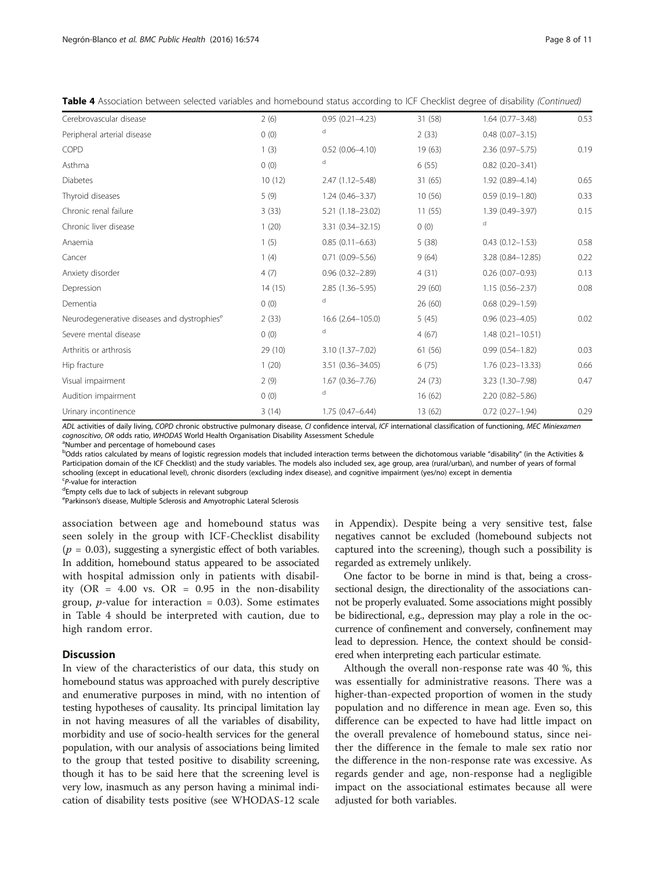| Table 4 Association between selected variables and homebound status according to ICF Checklist degree of disability (Continued) |  |  |  |
|---------------------------------------------------------------------------------------------------------------------------------|--|--|--|
|---------------------------------------------------------------------------------------------------------------------------------|--|--|--|

| Cerebrovascular disease                                 | 2(6)    | $0.95(0.21 - 4.23)$ | 31 (58) | $1.64(0.77 - 3.48)$  | 0.53 |
|---------------------------------------------------------|---------|---------------------|---------|----------------------|------|
| Peripheral arterial disease                             | 0(0)    | d                   | 2(33)   | $0.48(0.07 - 3.15)$  |      |
| COPD                                                    | 1(3)    | $0.52(0.06 - 4.10)$ | 19 (63) | 2.36 (0.97-5.75)     | 0.19 |
| Asthma                                                  | 0(0)    | d                   | 6(55)   | $0.82(0.20 - 3.41)$  |      |
| Diabetes                                                | 10(12)  | 2.47 (1.12-5.48)    | 31 (65) | 1.92 (0.89-4.14)     | 0.65 |
| Thyroid diseases                                        | 5(9)    | $1.24(0.46 - 3.37)$ | 10(56)  | $0.59(0.19 - 1.80)$  | 0.33 |
| Chronic renal failure                                   | 3(33)   | 5.21 (1.18-23.02)   | 11(55)  | 1.39 (0.49-3.97)     | 0.15 |
| Chronic liver disease                                   | 1(20)   | 3.31 (0.34-32.15)   | 0(0)    | d                    |      |
| Anaemia                                                 | 1(5)    | $0.85(0.11 - 6.63)$ | 5(38)   | $0.43(0.12 - 1.53)$  | 0.58 |
| Cancer                                                  | 1(4)    | $0.71(0.09 - 5.56)$ | 9(64)   | 3.28 (0.84-12.85)    | 0.22 |
| Anxiety disorder                                        | 4(7)    | $0.96(0.32 - 2.89)$ | 4(31)   | $0.26(0.07 - 0.93)$  | 0.13 |
| Depression                                              | 14(15)  | 2.85 (1.36-5.95)    | 29(60)  | $1.15(0.56 - 2.37)$  | 0.08 |
| Dementia                                                | 0(0)    | d                   | 26(60)  | $0.68(0.29 - 1.59)$  |      |
| Neurodegenerative diseases and dystrophies <sup>e</sup> | 2(33)   | 16.6 (2.64-105.0)   | 5(45)   | $0.96(0.23 - 4.05)$  | 0.02 |
| Severe mental disease                                   | 0(0)    | d                   | 4(67)   | $1.48(0.21 - 10.51)$ |      |
| Arthritis or arthrosis                                  | 29 (10) | 3.10 (1.37-7.02)    | 61 (56) | $0.99(0.54 - 1.82)$  | 0.03 |
| Hip fracture                                            | 1(20)   | 3.51 (0.36-34.05)   | 6(75)   | $1.76(0.23 - 13.33)$ | 0.66 |
| Visual impairment                                       | 2(9)    | $1.67(0.36 - 7.76)$ | 24 (73) | 3.23 (1.30-7.98)     | 0.47 |
| Audition impairment                                     | 0(0)    | d                   | 16(62)  | $2.20(0.82 - 5.86)$  |      |
| Urinary incontinence                                    | 3(14)   | 1.75 (0.47-6.44)    | 13 (62) | $0.72(0.27 - 1.94)$  | 0.29 |

ADL activities of daily living, COPD chronic obstructive pulmonary disease, CI confidence interval, ICF international classification of functioning, MEC Miniexamen cognoscitivo, OR odds ratio, WHODAS World Health Organisation Disability Assessment Schedule

Number and percentage of homebound cases

b<sub>Odds ratios calculated by means of logistic regression models that included interaction terms between the dichotomous variable "disability" (in the Activities &</sub> Participation domain of the ICF Checklist) and the study variables. The models also included sex, age group, area (rural/urban), and number of years of formal schooling (except in educational level), chronic disorders (excluding index disease), and cognitive impairment (yes/no) except in dementia

<sup>c</sup>P-value for interaction<br><sup>d</sup>Empty cells due to lac

Empty cells due to lack of subjects in relevant subgroup

<sup>e</sup>Parkinson's disease, Multiple Sclerosis and Amyotrophic Lateral Sclerosis

association between age and homebound status was seen solely in the group with ICF-Checklist disability  $(p = 0.03)$ , suggesting a synergistic effect of both variables. In addition, homebound status appeared to be associated with hospital admission only in patients with disability (OR =  $4.00$  vs. OR =  $0.95$  in the non-disability group, *p*-value for interaction = 0.03). Some estimates in Table [4](#page-6-0) should be interpreted with caution, due to high random error.

# **Discussion**

In view of the characteristics of our data, this study on homebound status was approached with purely descriptive and enumerative purposes in mind, with no intention of testing hypotheses of causality. Its principal limitation lay in not having measures of all the variables of disability, morbidity and use of socio-health services for the general population, with our analysis of associations being limited to the group that tested positive to disability screening, though it has to be said here that the screening level is very low, inasmuch as any person having a minimal indication of disability tests positive (see WHODAS-12 scale in [Appendix\)](#page-8-0). Despite being a very sensitive test, false negatives cannot be excluded (homebound subjects not captured into the screening), though such a possibility is regarded as extremely unlikely.

One factor to be borne in mind is that, being a crosssectional design, the directionality of the associations cannot be properly evaluated. Some associations might possibly be bidirectional, e.g., depression may play a role in the occurrence of confinement and conversely, confinement may lead to depression. Hence, the context should be considered when interpreting each particular estimate.

Although the overall non-response rate was 40 %, this was essentially for administrative reasons. There was a higher-than-expected proportion of women in the study population and no difference in mean age. Even so, this difference can be expected to have had little impact on the overall prevalence of homebound status, since neither the difference in the female to male sex ratio nor the difference in the non-response rate was excessive. As regards gender and age, non-response had a negligible impact on the associational estimates because all were adjusted for both variables.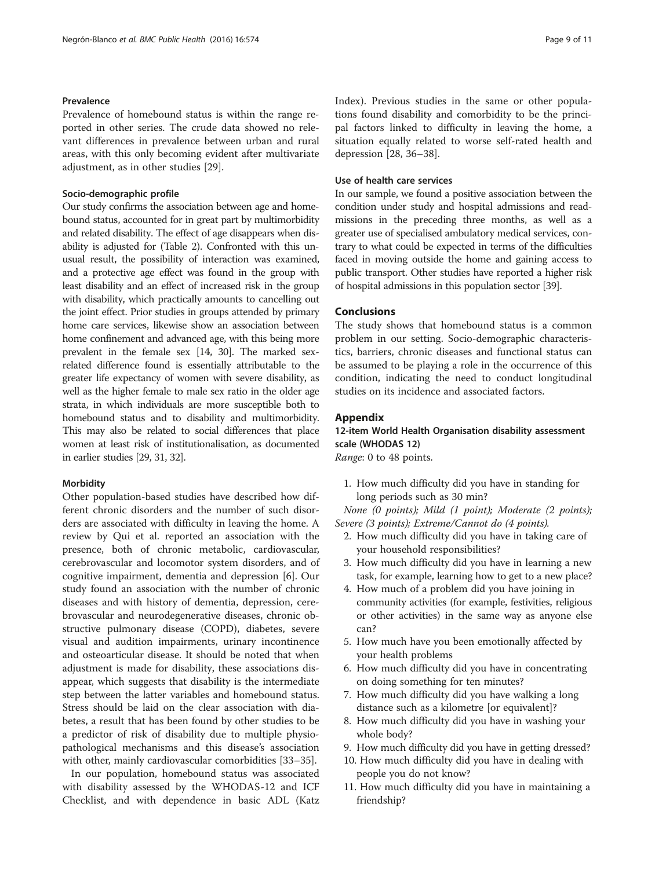# <span id="page-8-0"></span>Prevalence

Prevalence of homebound status is within the range reported in other series. The crude data showed no relevant differences in prevalence between urban and rural areas, with this only becoming evident after multivariate adjustment, as in other studies [[29](#page-10-0)].

#### Socio-demographic profile

Our study confirms the association between age and homebound status, accounted for in great part by multimorbidity and related disability. The effect of age disappears when disability is adjusted for (Table [2\)](#page-4-0). Confronted with this unusual result, the possibility of interaction was examined, and a protective age effect was found in the group with least disability and an effect of increased risk in the group with disability, which practically amounts to cancelling out the joint effect. Prior studies in groups attended by primary home care services, likewise show an association between home confinement and advanced age, with this being more prevalent in the female sex [\[14,](#page-9-0) [30\]](#page-10-0). The marked sexrelated difference found is essentially attributable to the greater life expectancy of women with severe disability, as well as the higher female to male sex ratio in the older age strata, in which individuals are more susceptible both to homebound status and to disability and multimorbidity. This may also be related to social differences that place women at least risk of institutionalisation, as documented in earlier studies [\[29, 31, 32\]](#page-10-0).

#### **Morbidity**

Other population-based studies have described how different chronic disorders and the number of such disorders are associated with difficulty in leaving the home. A review by Qui et al. reported an association with the presence, both of chronic metabolic, cardiovascular, cerebrovascular and locomotor system disorders, and of cognitive impairment, dementia and depression [\[6](#page-9-0)]. Our study found an association with the number of chronic diseases and with history of dementia, depression, cerebrovascular and neurodegenerative diseases, chronic obstructive pulmonary disease (COPD), diabetes, severe visual and audition impairments, urinary incontinence and osteoarticular disease. It should be noted that when adjustment is made for disability, these associations disappear, which suggests that disability is the intermediate step between the latter variables and homebound status. Stress should be laid on the clear association with diabetes, a result that has been found by other studies to be a predictor of risk of disability due to multiple physiopathological mechanisms and this disease's association with other, mainly cardiovascular comorbidities [\[33](#page-10-0)–[35\]](#page-10-0).

In our population, homebound status was associated with disability assessed by the WHODAS-12 and ICF Checklist, and with dependence in basic ADL (Katz Index). Previous studies in the same or other populations found disability and comorbidity to be the principal factors linked to difficulty in leaving the home, a situation equally related to worse self-rated health and depression [\[28](#page-10-0), [36](#page-10-0)–[38\]](#page-10-0).

# Use of health care services

In our sample, we found a positive association between the condition under study and hospital admissions and readmissions in the preceding three months, as well as a greater use of specialised ambulatory medical services, contrary to what could be expected in terms of the difficulties faced in moving outside the home and gaining access to public transport. Other studies have reported a higher risk of hospital admissions in this population sector [[39](#page-10-0)].

# Conclusions

The study shows that homebound status is a common problem in our setting. Socio-demographic characteristics, barriers, chronic diseases and functional status can be assumed to be playing a role in the occurrence of this condition, indicating the need to conduct longitudinal studies on its incidence and associated factors.

#### Appendix

# 12-item World Health Organisation disability assessment scale (WHODAS 12)

Range: 0 to 48 points.

1. How much difficulty did you have in standing for long periods such as 30 min?

None (0 points); Mild (1 point); Moderate (2 points); Severe (3 points); Extreme/Cannot do (4 points).

- 2. How much difficulty did you have in taking care of your household responsibilities?
- 3. How much difficulty did you have in learning a new task, for example, learning how to get to a new place?
- 4. How much of a problem did you have joining in community activities (for example, festivities, religious or other activities) in the same way as anyone else can?
- 5. How much have you been emotionally affected by your health problems
- 6. How much difficulty did you have in concentrating on doing something for ten minutes?
- 7. How much difficulty did you have walking a long distance such as a kilometre [or equivalent]?
- 8. How much difficulty did you have in washing your whole body?
- 9. How much difficulty did you have in getting dressed?
- 10. How much difficulty did you have in dealing with people you do not know?
- 11. How much difficulty did you have in maintaining a friendship?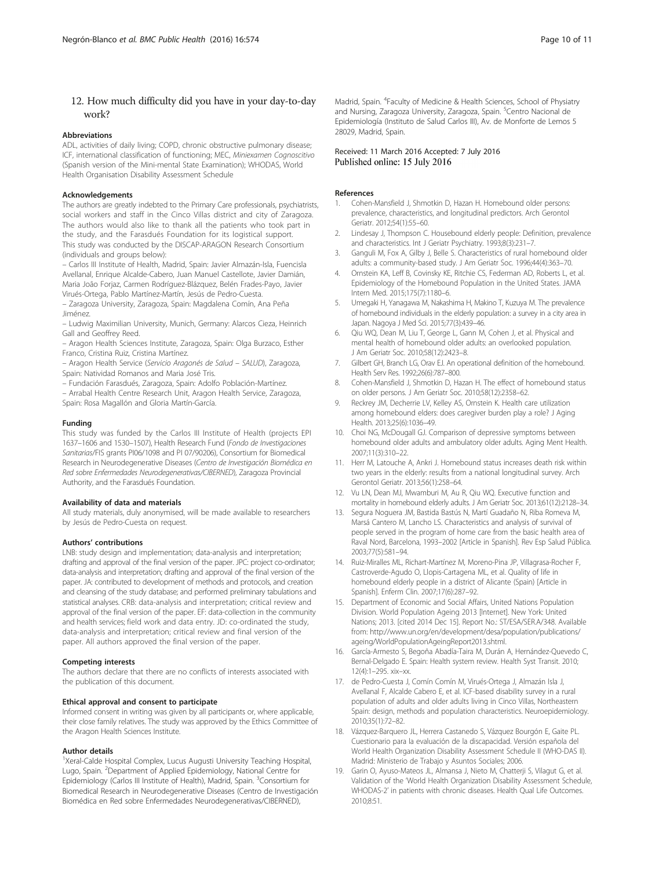# <span id="page-9-0"></span>12. How much difficulty did you have in your day-to-day work?

#### Abbreviations

ADL, activities of daily living; COPD, chronic obstructive pulmonary disease; ICF, international classification of functioning; MEC, Miniexamen Cognoscitivo (Spanish version of the Mini-mental State Examination); WHODAS, World Health Organisation Disability Assessment Schedule

#### Acknowledgements

The authors are greatly indebted to the Primary Care professionals, psychiatrists, social workers and staff in the Cinco Villas district and city of Zaragoza. The authors would also like to thank all the patients who took part in the study, and the Farasdués Foundation for its logistical support. This study was conducted by the DISCAP-ARAGON Research Consortium (individuals and groups below):

– Carlos III Institute of Health, Madrid, Spain: Javier Almazán-Isla, Fuencisla Avellanal, Enrique Alcalde-Cabero, Juan Manuel Castellote, Javier Damián, Maria João Forjaz, Carmen Rodríguez-Blázquez, Belén Frades-Payo, Javier Virués-Ortega, Pablo Martínez-Martín, Jesús de Pedro-Cuesta.

– Zaragoza University, Zaragoza, Spain: Magdalena Comín, Ana Peña Jiménez.

– Ludwig Maximilian University, Munich, Germany: Alarcos Cieza, Heinrich Gall and Geoffrey Reed.

– Aragon Health Sciences Institute, Zaragoza, Spain: Olga Burzaco, Esther Franco, Cristina Ruiz, Cristina Martínez.

– Aragon Health Service (Servicio Aragonés de Salud – SALUD), Zaragoza, Spain: Natividad Romanos and Maria José Tris.

– Fundación Farasdués, Zaragoza, Spain: Adolfo Población-Martínez. – Arrabal Health Centre Research Unit, Aragon Health Service, Zaragoza,

Spain: Rosa Magallón and Gloria Martín-García.

#### Funding

This study was funded by the Carlos III Institute of Health (projects EPI 1637–1606 and 1530–1507), Health Research Fund (Fondo de Investigaciones Sanitarias/FIS grants PI06/1098 and PI 07/90206), Consortium for Biomedical Research in Neurodegenerative Diseases (Centro de Investigación Biomédica en Red sobre Enfermedades Neurodegenerativas/CIBERNED), Zaragoza Provincial Authority, and the Farasdués Foundation.

#### Availability of data and materials

All study materials, duly anonymised, will be made available to researchers by Jesús de Pedro-Cuesta on request.

#### Authors' contributions

LNB: study design and implementation; data-analysis and interpretation; drafting and approval of the final version of the paper. JPC: project co-ordinator; data-analysis and interpretation; drafting and approval of the final version of the paper. JA: contributed to development of methods and protocols, and creation and cleansing of the study database; and performed preliminary tabulations and statistical analyses. CRB: data-analysis and interpretation; critical review and approval of the final version of the paper. EF: data-collection in the community and health services; field work and data entry. JD: co-ordinated the study, data-analysis and interpretation; critical review and final version of the paper. All authors approved the final version of the paper.

#### Competing interests

The authors declare that there are no conflicts of interests associated with the publication of this document.

#### Ethical approval and consent to participate

Informed consent in writing was given by all participants or, where applicable, their close family relatives. The study was approved by the Ethics Committee of the Aragon Health Sciences Institute.

#### Author details

<sup>1</sup>Xeral-Calde Hospital Complex, Lucus Augusti University Teaching Hospital, Lugo, Spain. <sup>2</sup>Department of Applied Epidemiology, National Centre for Epidemiology (Carlos III Institute of Health), Madrid, Spain. <sup>3</sup>Consortium for Biomedical Research in Neurodegenerative Diseases (Centro de Investigación Biomédica en Red sobre Enfermedades Neurodegenerativas/CIBERNED),

Madrid, Spain. <sup>4</sup>Faculty of Medicine & Health Sciences, School of Physiatry and Nursing, Zaragoza University, Zaragoza, Spain. <sup>5</sup>Centro Nacional de Epidemiología (Instituto de Salud Carlos III), Av. de Monforte de Lemos 5 28029, Madrid, Spain.

#### Received: 11 March 2016 Accepted: 7 July 2016 Published online: 15 July 2016

#### References

- 1. Cohen-Mansfield J, Shmotkin D, Hazan H. Homebound older persons: prevalence, characteristics, and longitudinal predictors. Arch Gerontol Geriatr. 2012;54(1):55–60.
- 2. Lindesay J, Thompson C. Housebound elderly people: Definition, prevalence and characteristics. Int J Geriatr Psychiatry. 1993;8(3):231–7.
- 3. Ganguli M, Fox A, Gilby J, Belle S. Characteristics of rural homebound older adults: a community-based study. J Am Geriatr Soc. 1996;44(4):363–70.
- 4. Ornstein KA, Leff B, Covinsky KE, Ritchie CS, Federman AD, Roberts L, et al. Epidemiology of the Homebound Population in the United States. JAMA Intern Med. 2015;175(7):1180–6.
- 5. Umegaki H, Yanagawa M, Nakashima H, Makino T, Kuzuya M. The prevalence of homebound individuals in the elderly population: a survey in a city area in Japan. Nagoya J Med Sci. 2015;77(3):439–46.
- 6. Qiu WQ, Dean M, Liu T, George L, Gann M, Cohen J, et al. Physical and mental health of homebound older adults: an overlooked population. J Am Geriatr Soc. 2010;58(12):2423–8.
- 7. Gilbert GH, Branch LG, Orav EJ. An operational definition of the homebound. Health Serv Res. 1992;26(6):787–800.
- 8. Cohen-Mansfield J, Shmotkin D, Hazan H. The effect of homebound status on older persons. J Am Geriatr Soc. 2010;58(12):2358–62.
- 9. Reckrey JM, Decherrie LV, Kelley AS, Ornstein K. Health care utilization among homebound elders: does caregiver burden play a role? J Aging Health. 2013;25(6):1036–49.
- 10. Choi NG, McDougall GJ. Comparison of depressive symptoms between homebound older adults and ambulatory older adults. Aging Ment Health. 2007;11(3):310–22.
- 11. Herr M, Latouche A, Ankri J. Homebound status increases death risk within two years in the elderly: results from a national longitudinal survey. Arch Gerontol Geriatr. 2013;56(1):258–64.
- 12. Vu LN, Dean MJ, Mwamburi M, Au R, Qiu WQ. Executive function and mortality in homebound elderly adults. J Am Geriatr Soc. 2013;61(12):2128–34.
- 13. Segura Noguera JM, Bastida Bastús N, Martí Guadaño N, Riba Romeva M, Marsá Cantero M, Lancho LS. Characteristics and analysis of survival of people served in the program of home care from the basic health area of Raval Nord, Barcelona, 1993–2002 [Article in Spanish]. Rev Esp Salud Pública. 2003;77(5):581–94.
- 14. Ruiz-Miralles ML, Richart-Martínez M, Moreno-Pina JP, Villagrasa-Rocher F, Castroverde-Agudo O, Llopis-Cartagena ML, et al. Quality of life in homebound elderly people in a district of Alicante (Spain) [Article in Spanish]. Enferm Clin. 2007;17(6):287–92.
- 15. Department of Economic and Social Affairs, United Nations Population Division. World Population Ageing 2013 [Internet]. New York: United Nations; 2013. [cited 2014 Dec 15]. Report No.: ST/ESA/SER.A/348. Available from: [http://www.un.org/en/development/desa/population/publications/](http://www.un.org/en/development/desa/population/publications/ageing/WorldPopulationAgeingReport2013.shtml) [ageing/WorldPopulationAgeingReport2013.shtml.](http://www.un.org/en/development/desa/population/publications/ageing/WorldPopulationAgeingReport2013.shtml)
- 16. García-Armesto S, Begoña Abadía-Taira M, Durán A, Hernández-Quevedo C, Bernal-Delgado E. Spain: Health system review. Health Syst Transit. 2010; 12(4):1–295. xix–xx.
- 17. de Pedro-Cuesta J, Comín Comín M, Virués-Ortega J, Almazán Isla J, Avellanal F, Alcalde Cabero E, et al. ICF-based disability survey in a rural population of adults and older adults living in Cinco Villas, Northeastern Spain: design, methods and population characteristics. Neuroepidemiology. 2010;35(1):72–82.
- 18. Vázquez-Barquero JL, Herrera Castanedo S, Vázquez Bourgón E, Gaite PL. Cuestionario para la evaluación de la discapacidad. Versión española del World Health Organization Disability Assessment Schedule II (WHO-DAS II). Madrid: Ministerio de Trabajo y Asuntos Sociales; 2006.
- 19. Garin O, Ayuso-Mateos JL, Almansa J, Nieto M, Chatterji S, Vilagut G, et al. Validation of the 'World Health Organization Disability Assessment Schedule, WHODAS-2' in patients with chronic diseases. Health Qual Life Outcomes. 2010;8:51.